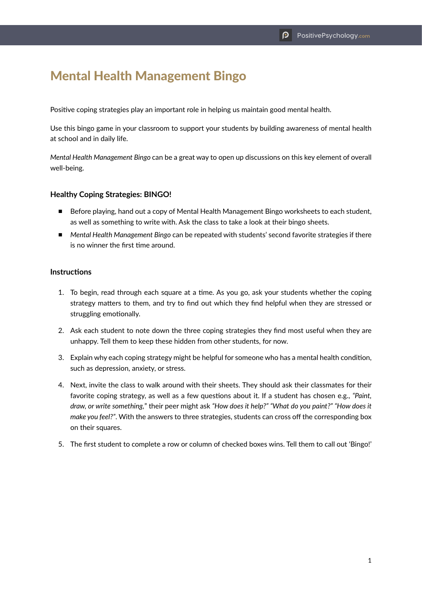## Mental Health Management Bingo

Positive coping strategies play an important role in helping us maintain good mental health.

Use this bingo game in your classroom to support your students by building awareness of mental health at school and in daily life.

*Mental Health Management Bingo* can be a great way to open up discussions on this key element of overall well-being.

## **Healthy Coping Strategies: BINGO!**

- Before playing, hand out a copy of Mental Health Management Bingo worksheets to each student, as well as something to write with. Ask the class to take a look at their bingo sheets.
- *Mental Health Management Bingo* can be repeated with students' second favorite strategies if there is no winner the first time around.

## **Instructions**

- 1. To begin, read through each square at a time. As you go, ask your students whether the coping strategy matters to them, and try to find out which they find helpful when they are stressed or struggling emotionally.
- 2. Ask each student to note down the three coping strategies they find most useful when they are unhappy. Tell them to keep these hidden from other students, for now.
- 3. Explain why each coping strategy might be helpful for someone who has a mental health condition, such as depression, anxiety, or stress.
- 4. Next, invite the class to walk around with their sheets. They should ask their classmates for their favorite coping strategy, as well as a few questions about it. If a student has chosen e.g., *"Paint, draw, or write something,*" their peer might ask *"How does it help?" "What do you paint?" "How does it make you feel?"*. With the answers to three strategies, students can cross off the corresponding box on their squares.
- 5. The first student to complete a row or column of checked boxes wins. Tell them to call out 'Bingo!'